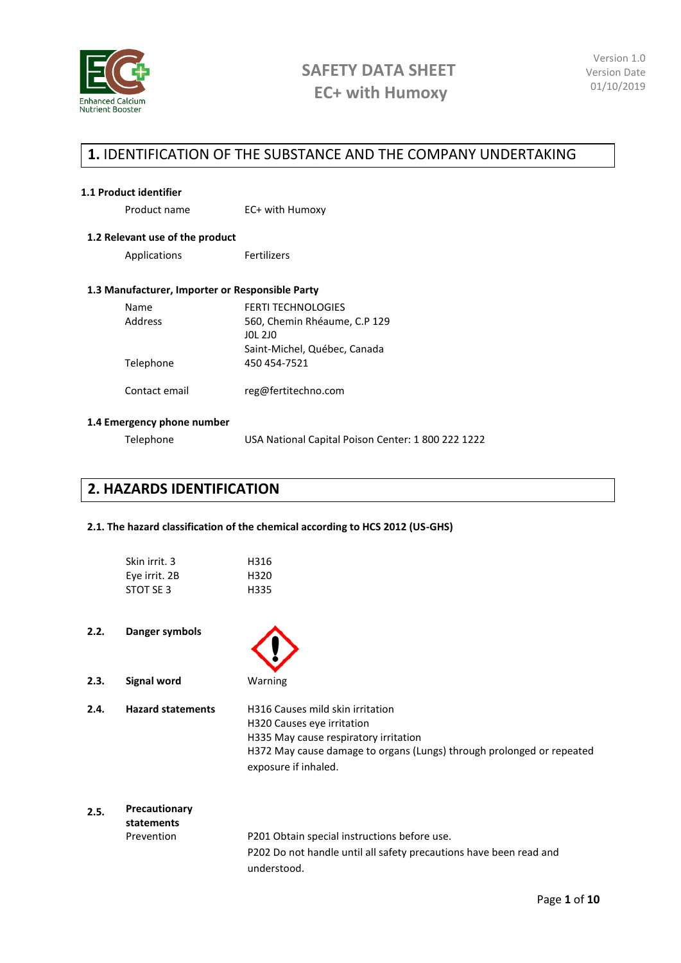

### **1.** IDENTIFICATION OF THE SUBSTANCE AND THE COMPANY UNDERTAKING

#### **1.1 Product identifier**

Product name EC+ with Humoxy

#### **1.2 Relevant use of the product**

Applications Fertilizers

### **1.3 Manufacturer, Importer or Responsible Party**

| Name          | <b>FERTI TECHNOLOGIES</b>    |
|---------------|------------------------------|
| Address       | 560, Chemin Rhéaume, C.P 129 |
|               | <b>JOL 2JO</b>               |
|               | Saint-Michel, Québec, Canada |
| Telephone     | 450 454-7521                 |
| Contact email | reg@fertitechno.com          |

#### **1.4 Emergency phone number**

Telephone USA National Capital Poison Center: 1 800 222 1222

### **2. HAZARDS IDENTIFICATION**

#### **2.1. The hazard classification of the chemical according to HCS 2012 (US-GHS)**

| Skin irrit. 3 | H316 |
|---------------|------|
| Eye irrit. 2B | H320 |
| STOT SF3      | H335 |

#### **2.2. Danger symbols**

| 2.3. | Signal word |  |
|------|-------------|--|

**2.3. Signal word** Warning

**2.4. Hazard statements** H316 Causes mild skin irritation H320 Causes eye irritation H335 May cause respiratory irritation H372 May cause damage to organs (Lungs) through prolonged or repeated exposure if inhaled.

### **2.5. Precautionary statements** Prevention P201 Obtain special instructions before use. P202 Do not handle until all safety precautions have been read and understood.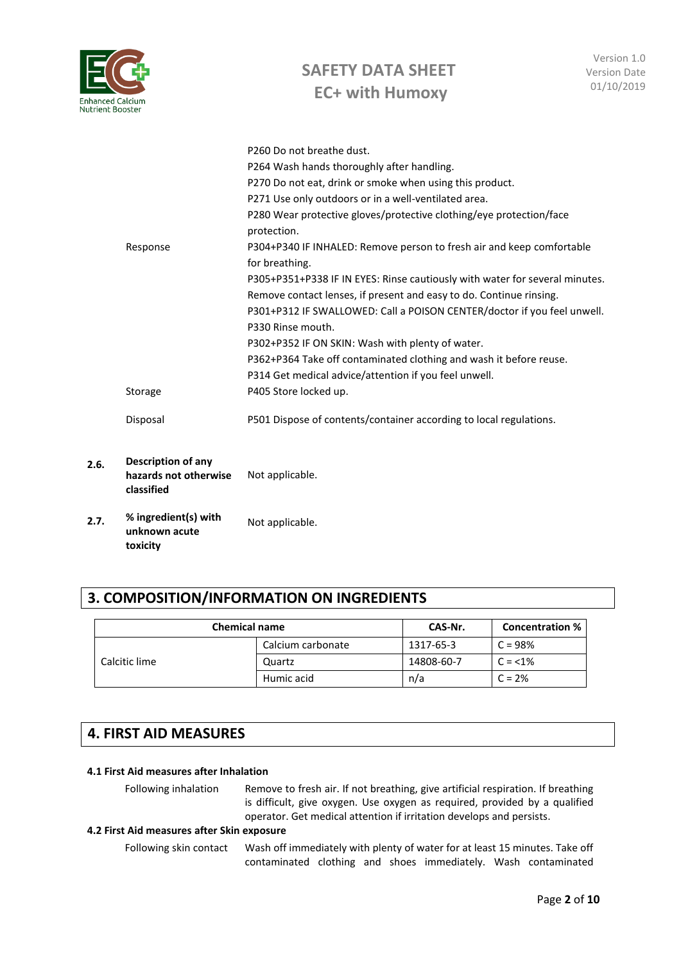| <b>Enhanced Calcium</b><br><b>Nutrient Booster</b> |
|----------------------------------------------------|
|                                                    |

| 2.6. | Description of any<br>hazards not otherwise<br>classified | Not applicable.                                                                                                                                                                                                                                                                                                                                                                                                                                                                                                                                                                                                                                                                                                                                                                                                   |
|------|-----------------------------------------------------------|-------------------------------------------------------------------------------------------------------------------------------------------------------------------------------------------------------------------------------------------------------------------------------------------------------------------------------------------------------------------------------------------------------------------------------------------------------------------------------------------------------------------------------------------------------------------------------------------------------------------------------------------------------------------------------------------------------------------------------------------------------------------------------------------------------------------|
|      | Disposal                                                  | P501 Dispose of contents/container according to local regulations.                                                                                                                                                                                                                                                                                                                                                                                                                                                                                                                                                                                                                                                                                                                                                |
|      | Response<br>Storage                                       | P264 Wash hands thoroughly after handling.<br>P270 Do not eat, drink or smoke when using this product.<br>P271 Use only outdoors or in a well-ventilated area.<br>P280 Wear protective gloves/protective clothing/eye protection/face<br>protection.<br>P304+P340 IF INHALED: Remove person to fresh air and keep comfortable<br>for breathing.<br>P305+P351+P338 IF IN EYES: Rinse cautiously with water for several minutes.<br>Remove contact lenses, if present and easy to do. Continue rinsing.<br>P301+P312 IF SWALLOWED: Call a POISON CENTER/doctor if you feel unwell.<br>P330 Rinse mouth.<br>P302+P352 IF ON SKIN: Wash with plenty of water.<br>P362+P364 Take off contaminated clothing and wash it before reuse.<br>P314 Get medical advice/attention if you feel unwell.<br>P405 Store locked up. |
|      |                                                           | P260 Do not breathe dust.                                                                                                                                                                                                                                                                                                                                                                                                                                                                                                                                                                                                                                                                                                                                                                                         |

**2.7. % ingredient(s) with unknown acute toxicity** Not applicable.

# **3. COMPOSITION/INFORMATION ON INGREDIENTS**

| <b>Chemical name</b> |                   | CAS-Nr.    | <b>Concentration %</b> |
|----------------------|-------------------|------------|------------------------|
|                      | Calcium carbonate | 1317-65-3  | $C = 98%$              |
| Calcitic lime        | Quartz            | 14808-60-7 | $C = 1\%$              |
|                      | Humic acid        | n/a        | $C = 2%$               |

## **4. FIRST AID MEASURES**

#### **4.1 First Aid measures after Inhalation**

Following inhalation Remove to fresh air. If not breathing, give artificial respiration. If breathing is difficult, give oxygen. Use oxygen as required, provided by a qualified operator. Get medical attention if irritation develops and persists.

#### **4.2 First Aid measures after Skin exposure**

Following skin contact Wash off immediately with plenty of water for at least 15 minutes. Take off contaminated clothing and shoes immediately. Wash contaminated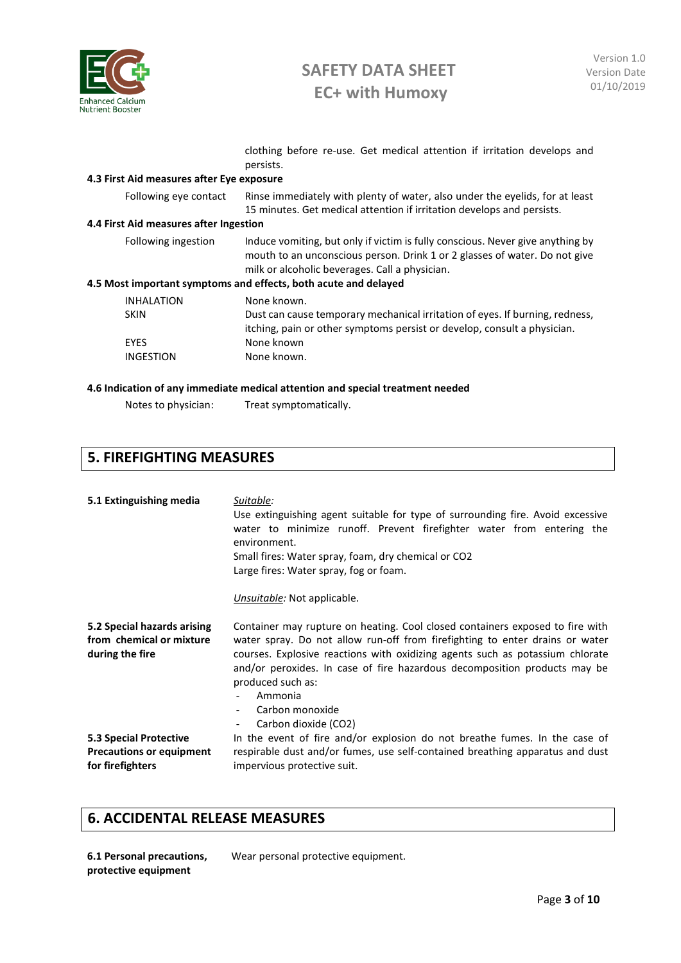

clothing before re-use. Get medical attention if irritation develops and persists.

#### **4.3 First Aid measures after Eye exposure**

Following eye contact Rinse immediately with plenty of water, also under the eyelids, for at least 15 minutes. Get medical attention if irritation develops and persists.

#### **4.4 First Aid measures after Ingestion**

| Following ingestion | Induce vomiting, but only if victim is fully conscious. Never give anything by<br>mouth to an unconscious person. Drink 1 or 2 glasses of water. Do not give<br>milk or alcoholic beverages. Call a physician.<br>4.5 Most important symptoms and effects, both acute and delayed |
|---------------------|-----------------------------------------------------------------------------------------------------------------------------------------------------------------------------------------------------------------------------------------------------------------------------------|
| <b>INHALATION</b>   | None known.                                                                                                                                                                                                                                                                       |
| <b>SKIN</b>         | Dust can cause temporary mechanical irritation of eves If burning redness                                                                                                                                                                                                         |

| <b>SKIN</b> | Dust can cause temporary mechanical irritation of eyes. If burning, redness, |
|-------------|------------------------------------------------------------------------------|
|             | itching, pain or other symptoms persist or develop, consult a physician.     |
| <b>FYFS</b> | None known                                                                   |
| INGESTION   | None known.                                                                  |

#### **4.6 Indication of any immediate medical attention and special treatment needed**

Notes to physician: Treat symptomatically.

### **5. FIREFIGHTING MEASURES**

| 5.1 Extinguishing media                                                       | Suitable:<br>Use extinguishing agent suitable for type of surrounding fire. Avoid excessive<br>water to minimize runoff. Prevent firefighter water from entering the<br>environment.<br>Small fires: Water spray, foam, dry chemical or CO2<br>Large fires: Water spray, fog or foam.<br>Unsuitable: Not applicable.                                                           |
|-------------------------------------------------------------------------------|--------------------------------------------------------------------------------------------------------------------------------------------------------------------------------------------------------------------------------------------------------------------------------------------------------------------------------------------------------------------------------|
| 5.2 Special hazards arising<br>from chemical or mixture<br>during the fire    | Container may rupture on heating. Cool closed containers exposed to fire with<br>water spray. Do not allow run-off from firefighting to enter drains or water<br>courses. Explosive reactions with oxidizing agents such as potassium chlorate<br>and/or peroxides. In case of fire hazardous decomposition products may be<br>produced such as:<br>Ammonia<br>Carbon monoxide |
| 5.3 Special Protective<br><b>Precautions or equipment</b><br>for firefighters | Carbon dioxide (CO2)<br>-<br>In the event of fire and/or explosion do not breathe fumes. In the case of<br>respirable dust and/or fumes, use self-contained breathing apparatus and dust<br>impervious protective suit.                                                                                                                                                        |

### **6. ACCIDENTAL RELEASE MEASURES**

**6.1 Personal precautions, protective equipment** 

Wear personal protective equipment.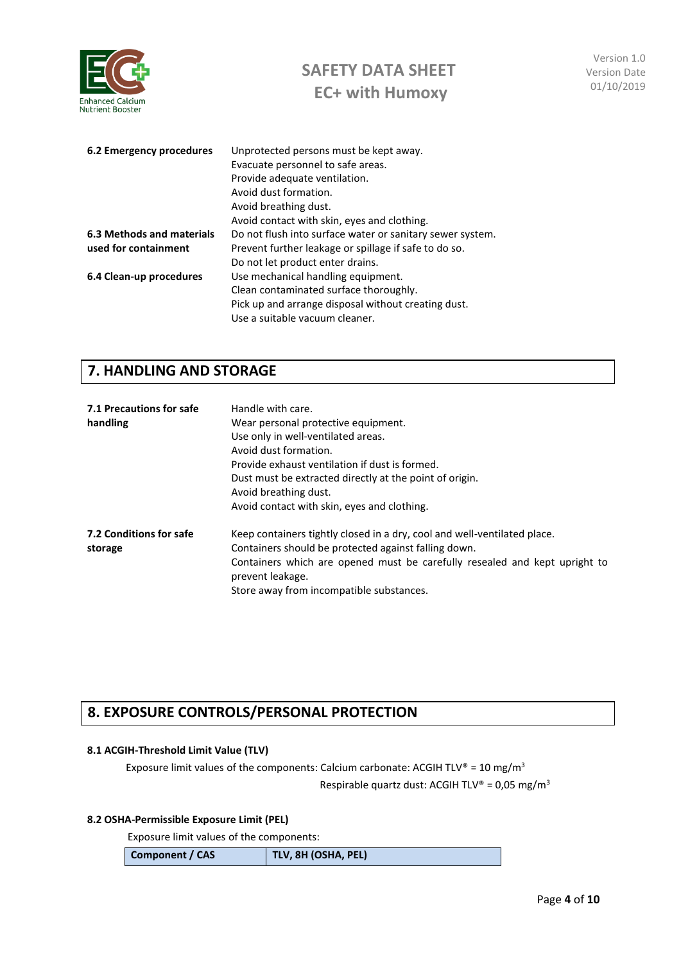

| 6.2 Emergency procedures         | Unprotected persons must be kept away.                    |
|----------------------------------|-----------------------------------------------------------|
|                                  | Evacuate personnel to safe areas.                         |
|                                  | Provide adequate ventilation.                             |
|                                  | Avoid dust formation.                                     |
|                                  | Avoid breathing dust.                                     |
|                                  | Avoid contact with skin, eyes and clothing.               |
| <b>6.3 Methods and materials</b> | Do not flush into surface water or sanitary sewer system. |
| used for containment             | Prevent further leakage or spillage if safe to do so.     |
|                                  | Do not let product enter drains.                          |
| 6.4 Clean-up procedures          | Use mechanical handling equipment.                        |
|                                  | Clean contaminated surface thoroughly.                    |
|                                  | Pick up and arrange disposal without creating dust.       |
|                                  | Use a suitable vacuum cleaner.                            |

# **7. HANDLING AND STORAGE**

| 7.1 Precautions for safe<br>handling | Handle with care.<br>Wear personal protective equipment.<br>Use only in well-ventilated areas.<br>Avoid dust formation.<br>Provide exhaust ventilation if dust is formed.<br>Dust must be extracted directly at the point of origin.<br>Avoid breathing dust.<br>Avoid contact with skin, eyes and clothing. |
|--------------------------------------|--------------------------------------------------------------------------------------------------------------------------------------------------------------------------------------------------------------------------------------------------------------------------------------------------------------|
| 7.2 Conditions for safe<br>storage   | Keep containers tightly closed in a dry, cool and well-ventilated place.<br>Containers should be protected against falling down.<br>Containers which are opened must be carefully resealed and kept upright to<br>prevent leakage.<br>Store away from incompatible substances.                               |

# **8. EXPOSURE CONTROLS/PERSONAL PROTECTION**

#### **8.1 ACGIH-Threshold Limit Value (TLV)**

Exposure limit values of the components: Calcium carbonate: ACGIH TLV® = 10 mg/m<sup>3</sup> Respirable quartz dust: ACGIH TLV® =  $0.05 \text{ mg/m}^3$ 

### **8.2 OSHA-Permissible Exposure Limit (PEL)**

Exposure limit values of the components:

| Component / CAS | TLV, 8H (OSHA, PEL) |
|-----------------|---------------------|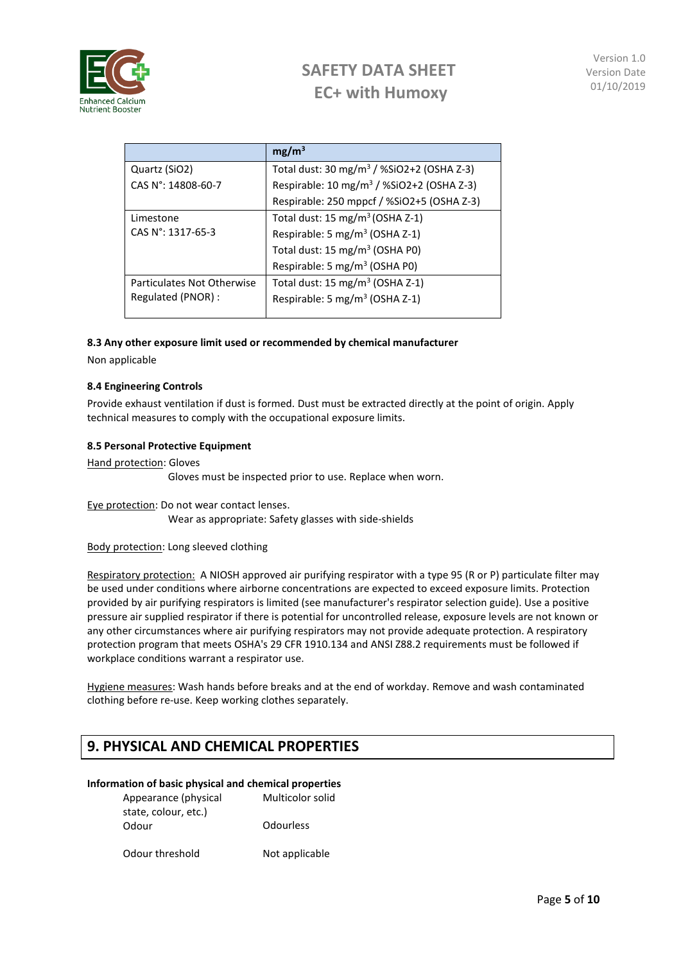

Version 1.0 Version Date 01/10/2019

|                                                  | mg/m <sup>3</sup>                                     |
|--------------------------------------------------|-------------------------------------------------------|
| Quartz (SiO2)                                    | Total dust: 30 mg/m <sup>3</sup> / %SiO2+2 (OSHA Z-3) |
| CAS N°: 14808-60-7                               | Respirable: 10 mg/m <sup>3</sup> / %SiO2+2 (OSHA Z-3) |
|                                                  | Respirable: 250 mppcf / %SiO2+5 (OSHA Z-3)            |
| Limestone                                        | Total dust: 15 mg/m <sup>3</sup> (OSHA Z-1)           |
| CAS N°: 1317-65-3                                | Respirable: 5 mg/m <sup>3</sup> (OSHA Z-1)            |
|                                                  | Total dust: 15 mg/m <sup>3</sup> (OSHA P0)            |
|                                                  | Respirable: 5 mg/m <sup>3</sup> (OSHA P0)             |
| Particulates Not Otherwise<br>Regulated (PNOR) : | Total dust: 15 mg/m <sup>3</sup> (OSHA Z-1)           |
|                                                  | Respirable: 5 mg/m <sup>3</sup> (OSHA Z-1)            |

#### **8.3 Any other exposure limit used or recommended by chemical manufacturer**

Non applicable

#### **8.4 Engineering Controls**

Provide exhaust ventilation if dust is formed. Dust must be extracted directly at the point of origin. Apply technical measures to comply with the occupational exposure limits.

#### **8.5 Personal Protective Equipment**

Hand protection: Gloves

Gloves must be inspected prior to use. Replace when worn.

Eye protection: Do not wear contact lenses. Wear as appropriate: Safety glasses with side-shields

#### Body protection: Long sleeved clothing

Respiratory protection: A NIOSH approved air purifying respirator with a type 95 (R or P) particulate filter may be used under conditions where airborne concentrations are expected to exceed exposure limits. Protection provided by air purifying respirators is limited (see manufacturer's respirator selection guide). Use a positive pressure air supplied respirator if there is potential for uncontrolled release, exposure levels are not known or any other circumstances where air purifying respirators may not provide adequate protection. A respiratory protection program that meets OSHA's 29 CFR 1910.134 and ANSI Z88.2 requirements must be followed if workplace conditions warrant a respirator use.

Hygiene measures: Wash hands before breaks and at the end of workday. Remove and wash contaminated clothing before re-use. Keep working clothes separately.

### **9. PHYSICAL AND CHEMICAL PROPERTIES**

#### **Information of basic physical and chemical properties**

Appearance (physical state, colour, etc.) Multicolor solid Odour Odourless

Odour threshold Not applicable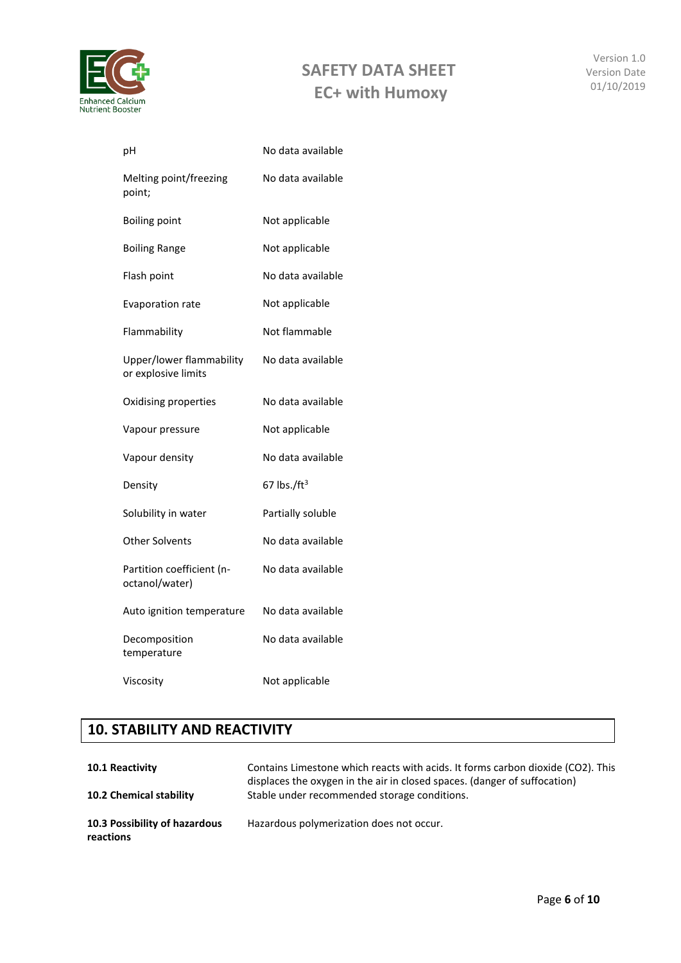

Version 1.0 Version Date 01/10/2019

| pH                                              | No data available |
|-------------------------------------------------|-------------------|
| Melting point/freezing<br>point;                | No data available |
| <b>Boiling point</b>                            | Not applicable    |
| <b>Boiling Range</b>                            | Not applicable    |
| Flash point                                     | No data available |
| <b>Evaporation rate</b>                         | Not applicable    |
| Flammability                                    | Not flammable     |
| Upper/lower flammability<br>or explosive limits | No data available |
| Oxidising properties                            | No data available |
| Vapour pressure                                 | Not applicable    |
| Vapour density                                  | No data available |
| Density                                         | 67 lbs./ $ft3$    |
| Solubility in water                             | Partially soluble |
| Other Solvents                                  | No data available |
| Partition coefficient (n-<br>octanol/water)     | No data available |
| Auto ignition temperature                       | No data available |
| Decomposition<br>temperature                    | No data available |
| Viscosity                                       | Not applicable    |

# **10. STABILITY AND REACTIVITY**

| <b>10.1 Reactivity</b><br><b>10.2 Chemical stability</b> | Contains Limestone which reacts with acids. It forms carbon dioxide (CO2). This<br>displaces the oxygen in the air in closed spaces. (danger of suffocation)<br>Stable under recommended storage conditions. |
|----------------------------------------------------------|--------------------------------------------------------------------------------------------------------------------------------------------------------------------------------------------------------------|
| 10.3 Possibility of hazardous<br>reactions               | Hazardous polymerization does not occur.                                                                                                                                                                     |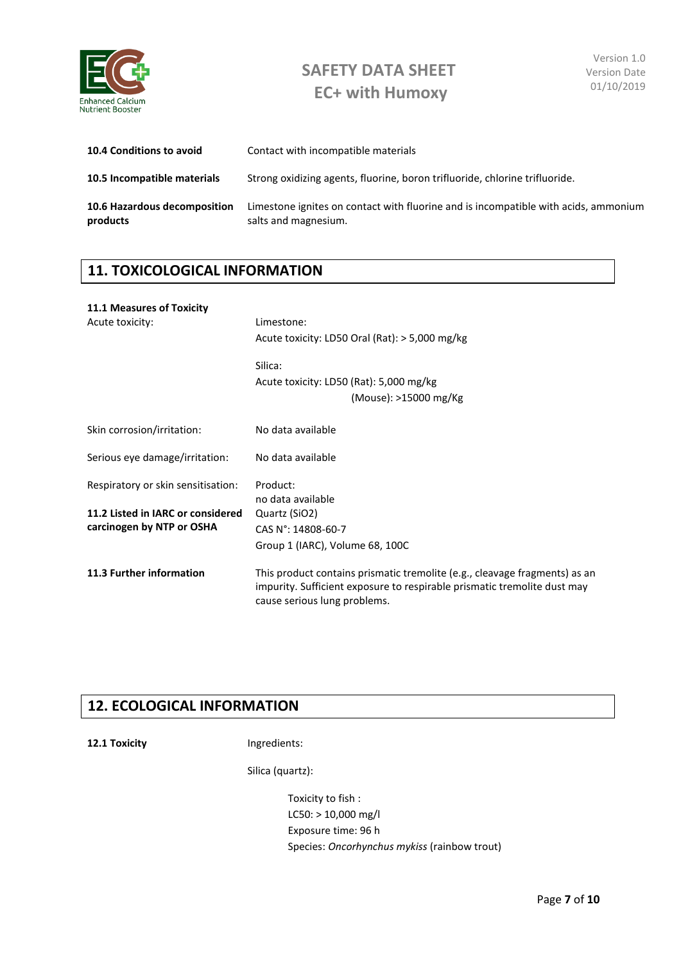

| <b>10.4 Conditions to avoid</b>          | Contact with incompatible materials                                                                         |
|------------------------------------------|-------------------------------------------------------------------------------------------------------------|
| 10.5 Incompatible materials              | Strong oxidizing agents, fluorine, boron trifluoride, chlorine trifluoride.                                 |
| 10.6 Hazardous decomposition<br>products | Limestone ignites on contact with fluorine and is incompatible with acids, ammonium<br>salts and magnesium. |

# **11. TOXICOLOGICAL INFORMATION**

## **11.1 Measures of Toxicity**  Acute toxicity: Limestone: Acute toxicity: LD50 Oral (Rat): > 5,000 mg/kg Silica: Acute toxicity: LD50 (Rat): 5,000 mg/kg (Mouse): >15000 mg/Kg Skin corrosion/irritation: No data available Serious eye damage/irritation: No data available Respiratory or skin sensitisation: Product: no data available **11.2 Listed in IARC or considered carcinogen by NTP or OSHA** Quartz (SiO2) CAS N°: 14808-60-7 Group 1 (IARC), Volume 68, 100C **11.3 Further information** This product contains prismatic tremolite (e.g., cleavage fragments) as an impurity. Sufficient exposure to respirable prismatic tremolite dust may cause serious lung problems.

## **12. ECOLOGICAL INFORMATION**

**12.1 Toxicity Ingredients:** 

Silica (quartz):

Toxicity to fish : LC50: > 10,000 mg/l Exposure time: 96 h Species: *Oncorhynchus mykiss* (rainbow trout)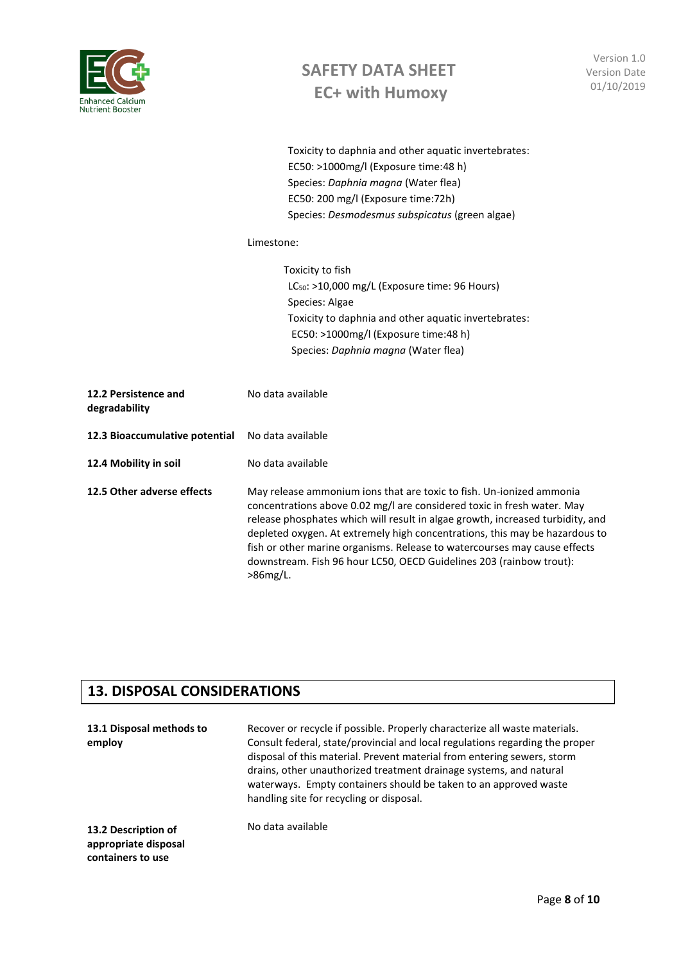

Version 1.0 Version Date 01/10/2019

|                                       | Toxicity to daphnia and other aquatic invertebrates:<br>EC50: >1000mg/l (Exposure time:48 h)<br>Species: Daphnia magna (Water flea)<br>EC50: 200 mg/l (Exposure time: 72h)<br>Species: Desmodesmus subspicatus (green algae)                                                                                                                                                                                                                                         |
|---------------------------------------|----------------------------------------------------------------------------------------------------------------------------------------------------------------------------------------------------------------------------------------------------------------------------------------------------------------------------------------------------------------------------------------------------------------------------------------------------------------------|
|                                       | Limestone:                                                                                                                                                                                                                                                                                                                                                                                                                                                           |
|                                       | Toxicity to fish<br>$LC_{50}$ : >10,000 mg/L (Exposure time: 96 Hours)<br>Species: Algae<br>Toxicity to daphnia and other aquatic invertebrates:<br>EC50: >1000mg/l (Exposure time:48 h)<br>Species: Daphnia magna (Water flea)                                                                                                                                                                                                                                      |
| 12.2 Persistence and<br>degradability | No data available                                                                                                                                                                                                                                                                                                                                                                                                                                                    |
| 12.3 Bioaccumulative potential        | No data available                                                                                                                                                                                                                                                                                                                                                                                                                                                    |
| 12.4 Mobility in soil                 | No data available                                                                                                                                                                                                                                                                                                                                                                                                                                                    |
| 12.5 Other adverse effects            | May release ammonium ions that are toxic to fish. Un-ionized ammonia<br>concentrations above 0.02 mg/l are considered toxic in fresh water. May<br>release phosphates which will result in algae growth, increased turbidity, and<br>depleted oxygen. At extremely high concentrations, this may be hazardous to<br>fish or other marine organisms. Release to watercourses may cause effects<br>downstream. Fish 96 hour LC50, OECD Guidelines 203 (rainbow trout): |

### **13. DISPOSAL CONSIDERATIONS**

>86mg/L.

| 13.1 Disposal methods to<br>employ                               | Recover or recycle if possible. Properly characterize all waste materials.<br>Consult federal, state/provincial and local regulations regarding the proper<br>disposal of this material. Prevent material from entering sewers, storm<br>drains, other unauthorized treatment drainage systems, and natural<br>waterways. Empty containers should be taken to an approved waste<br>handling site for recycling or disposal. |
|------------------------------------------------------------------|-----------------------------------------------------------------------------------------------------------------------------------------------------------------------------------------------------------------------------------------------------------------------------------------------------------------------------------------------------------------------------------------------------------------------------|
| 13.2 Description of<br>appropriate disposal<br>containers to use | No data available                                                                                                                                                                                                                                                                                                                                                                                                           |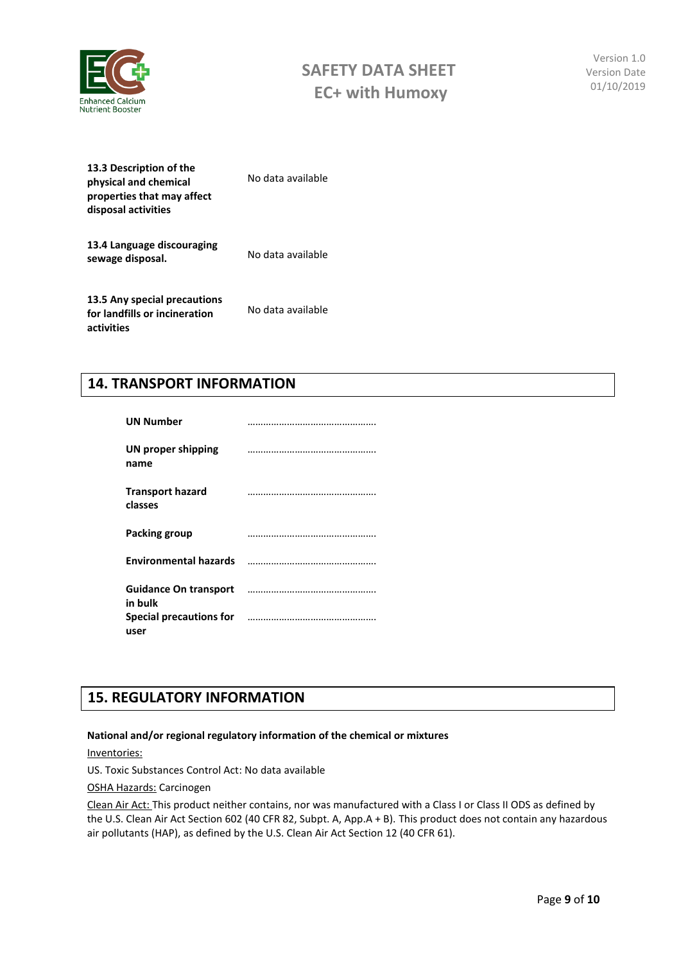

Version 1.0 Version Date 01/10/2019

| 13.3 Description of the<br>physical and chemical<br>properties that may affect<br>disposal activities | No data available |
|-------------------------------------------------------------------------------------------------------|-------------------|
| 13.4 Language discouraging<br>sewage disposal.                                                        | No data available |
| 13.5 Any special precautions<br>for landfills or incineration<br>activities                           | No data available |

## **14. TRANSPORT INFORMATION**

| <b>UN Number</b>                        |                                                                                                                       |
|-----------------------------------------|-----------------------------------------------------------------------------------------------------------------------|
| UN proper shipping<br>name              |                                                                                                                       |
| <b>Transport hazard</b><br>classes      |                                                                                                                       |
| Packing group                           |                                                                                                                       |
|                                         | Environmental hazards <b>manual contracts</b> and the contract of the contract of the contract of the contract of the |
| <b>Guidance On transport</b><br>in bulk |                                                                                                                       |
| user                                    | Special precautions for manufactured and precisions of the substitutions of the substitutions of the Special S        |

# **15. REGULATORY INFORMATION**

#### **National and/or regional regulatory information of the chemical or mixtures**

Inventories:

US. Toxic Substances Control Act: No data available

OSHA Hazards: Carcinogen

Clean Air Act: This product neither contains, nor was manufactured with a Class I or Class II ODS as defined by the U.S. Clean Air Act Section 602 (40 CFR 82, Subpt. A, App.A + B). This product does not contain any hazardous air pollutants (HAP), as defined by the U.S. Clean Air Act Section 12 (40 CFR 61).